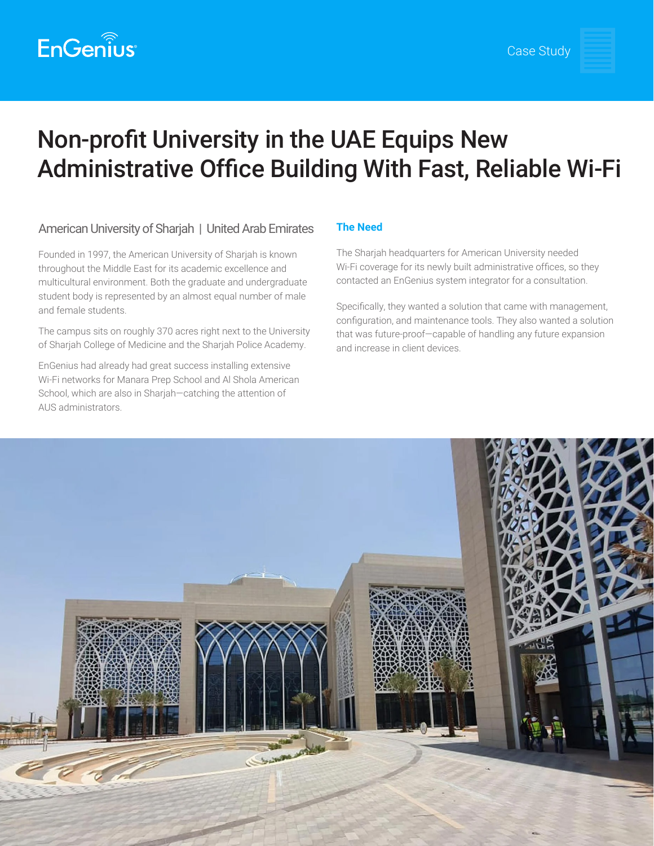

# Non-profit University in the UAE Equips New Administrative Office Building With Fast, Reliable Wi-Fi

## American University of Sharjah | United Arab Emirates

Founded in 1997, the American University of Sharjah is known throughout the Middle East for its academic excellence and multicultural environment. Both the graduate and undergraduate student body is represented by an almost equal number of male and female students.

The campus sits on roughly 370 acres right next to the University of Sharjah College of Medicine and the Sharjah Police Academy.

EnGenius had already had great success installing extensive Wi-Fi networks for Manara Prep School and Al Shola American School, which are also in Sharjah—catching the attention of AUS administrators.

## **The Need**

The Sharjah headquarters for American University needed Wi-Fi coverage for its newly built administrative offices, so they contacted an EnGenius system integrator for a consultation.

Specifically, they wanted a solution that came with management, configuration, and maintenance tools. They also wanted a solution that was future-proof—capable of handling any future expansion and increase in client devices.